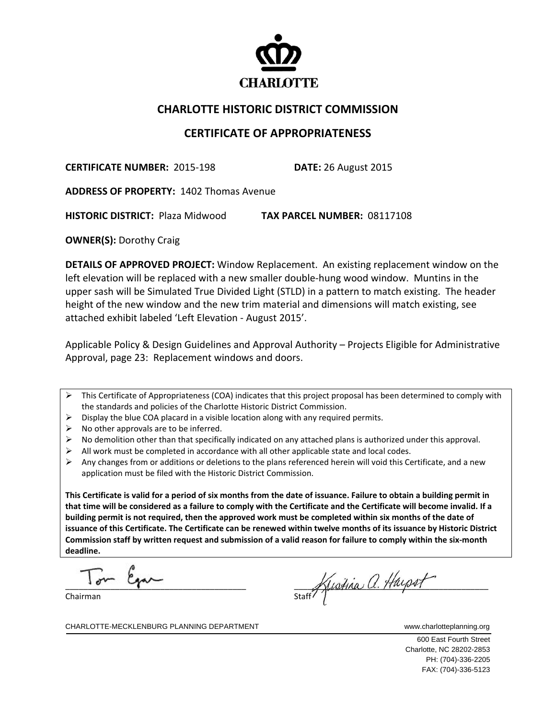

## **CHARLOTTE HISTORIC DISTRICT COMMISSION**

## **CERTIFICATE OF APPROPRIATENESS**

**CERTIFICATE NUMBER:** 2015‐198 **DATE:** 26 August 2015

**ADDRESS OF PROPERTY:** 1402 Thomas Avenue

**HISTORIC DISTRICT:** Plaza Midwood **TAX PARCEL NUMBER:** 08117108

**OWNER(S):** Dorothy Craig

**DETAILS OF APPROVED PROJECT:** Window Replacement. An existing replacement window on the left elevation will be replaced with a new smaller double‐hung wood window. Muntins in the upper sash will be Simulated True Divided Light (STLD) in a pattern to match existing. The header height of the new window and the new trim material and dimensions will match existing, see attached exhibit labeled 'Left Elevation ‐ August 2015'.

Applicable Policy & Design Guidelines and Approval Authority – Projects Eligible for Administrative Approval, page 23: Replacement windows and doors.

- $\triangleright$  This Certificate of Appropriateness (COA) indicates that this project proposal has been determined to comply with the standards and policies of the Charlotte Historic District Commission.
- $\triangleright$  Display the blue COA placard in a visible location along with any required permits.
- $\triangleright$  No other approvals are to be inferred.
- $\triangleright$  No demolition other than that specifically indicated on any attached plans is authorized under this approval.
- $\triangleright$  All work must be completed in accordance with all other applicable state and local codes.
- $\triangleright$  Any changes from or additions or deletions to the plans referenced herein will void this Certificate, and a new application must be filed with the Historic District Commission.

This Certificate is valid for a period of six months from the date of issuance. Failure to obtain a building permit in that time will be considered as a failure to comply with the Certificate and the Certificate will become invalid. If a building permit is not required, then the approved work must be completed within six months of the date of issuance of this Certificate. The Certificate can be renewed within twelve months of its issuance by Historic District Commission staff by written request and submission of a valid reason for failure to comply within the six-month **deadline.**

 $\overline{a}$  $T_{\text{max}}$   $\beta_{\text{max}}$ 

Chairman

staff Kustina a. Huipst

CHARLOTTE-MECKLENBURG PLANNING DEPARTMENT www.charlotteplanning.org

 600 East Fourth Street Charlotte, NC 28202-2853 PH: (704)-336-2205 FAX: (704)-336-5123